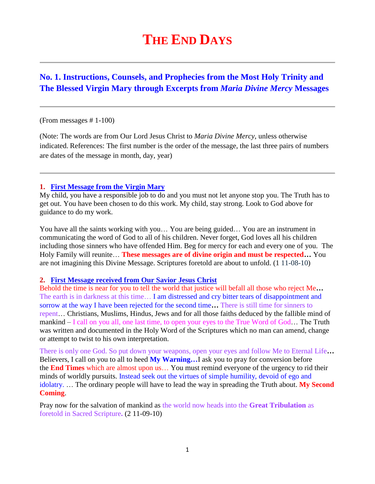# **THE END DAYS**

# **No. 1. Instructions, Counsels, and Prophecies from the Most Holy Trinity and The Blessed Virgin Mary through Excerpts from** *Maria Divine Mercy* **Messages**

#### (From messages # 1-100)

(Note: The words are from Our Lord Jesus Christ to *Maria Divine Mercy*, unless otherwise indicated. References: The first number is the order of the message, the last three pairs of numbers are dates of the message in month, day, year)

#### **1. [First Message from the Virgin Mary](http://www.thewarningsecondcoming.com/first-message-from-the-virgin-mary/)**

My child, you have a responsible job to do and you must not let anyone stop you. The Truth has to get out. You have been chosen to do this work. My child, stay strong. Look to God above for guidance to do my work.

You have all the saints working with you… You are being guided… You are an instrument in communicating the word of God to all of his children. Never forget, God loves all his children including those sinners who have offended Him. Beg for mercy for each and every one of you. The Holy Family will reunite… **These messages are of divine origin and must be respected…** You are not imagining this Divine Message. Scriptures foretold are about to unfold. (1 11-08-10)

#### **2. [First Message received from Our Savior Jesus Christ](http://www.thewarningsecondcoming.com/first-message-received-from-our-saviour-jesus-christ/)**

Behold the time is near for you to tell the world that justice will befall all those who reject Me**…**  The earth is in darkness at this time… I am distressed and cry bitter tears of disappointment and sorrow at the way I have been rejected for the second time**…** There is still time for sinners to repent… Christians, Muslims, Hindus, Jews and for all those faiths deduced by the fallible mind of mankind – I call on you all, one last time, to open your eyes to the True Word of God… The Truth was written and documented in the Holy Word of the Scriptures which no man can amend, change or attempt to twist to his own interpretation.

There is only one God. So put down your weapons, open your eyes and follow Me to Eternal Life**…**  Believers, I call on you to all to heed **My Warning…**I ask you to pray for conversion before the **End Times** which are almost upon us… You must remind everyone of the urgency to rid their minds of worldly pursuits. Instead seek out the virtues of simple humility, devoid of ego and idolatry. … The ordinary people will have to lead the way in spreading the Truth about. **My Second Coming**.

Pray now for the salvation of mankind as the world now heads into the **Great Tribulation** as foretold in Sacred Scripture**.** (2 11-09-10)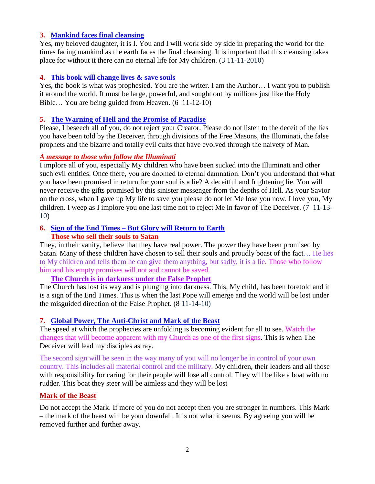### **3. [Mankind faces final cleansing](http://www.thewarningsecondcoming.com/mankind-faces-final-cleansing/)**

Yes, my beloved daughter, it is I. You and I will work side by side in preparing the world for the times facing mankind as the earth faces the final cleansing. It is important that this cleansing takes place for without it there can no eternal life for My children. (3 11-11-2010)

#### **4. [This book will change lives & save souls](http://www.thewarningsecondcoming.com/this-book-will-change-lives-and-save-souls/)**

Yes, the book is what was prophesied. You are the writer. I am the Author… I want you to publish it around the world. It must be large, powerful, and sought out by millions just like the Holy Bible… You are being guided from Heaven. (6 11-12-10)

#### **5. [The Warning of Hell and the Promise of Paradise](http://www.thewarningsecondcoming.com/the-warning-of-hell-and-the-promise-of-paradise/)**

Please, I beseech all of you, do not reject your Creator. Please do not listen to the deceit of the lies you have been told by the Deceiver, through divisions of the Free Masons, the Illuminati, the false prophets and the bizarre and totally evil cults that have evolved through the naivety of Man.

#### *A message to those who follow the Illuminati*

I implore all of you, especially My children who have been sucked into the Illuminati and other such evil entities. Once there, you are doomed to eternal damnation. Don't you understand that what you have been promised in return for your soul is a lie? A deceitful and frightening lie. You will never receive the gifts promised by this sinister messenger from the depths of Hell. As your Savior on the cross, when I gave up My life to save you please do not let Me lose you now. I love you, My children. I weep as I implore you one last time not to reject Me in favor of The Deceiver. (7 11-13- 10)

### **6. Sign of the End Times – But Glory will Return to Earth Those who sell their souls to Satan**

They, in their vanity, believe that they have real power. The power they have been promised by Satan. Many of these children have chosen to sell their souls and proudly boast of the fact... He lies to My children and tells them he can give them anything, but sadly, it is a lie. Those who follow him and his empty promises will not and cannot be saved.

**The Church is in darkness under the False Prophet**

The Church has lost its way and is plunging into darkness. This, My child, has been foretold and it is a sign of the End Times. This is when the last Pope will emerge and the world will be lost under the misguided direction of the False Prophet. (8 11-14-10)

#### **7. [Global Power, The Anti-Christ and Mark of the Beast](http://www.thewarningsecondcoming.com/global-power-the-anti-christ-and-mark-of-the-beast/)**

The speed at which the prophecies are unfolding is becoming evident for all to see. Watch the changes that will become apparent with my Church as one of the first signs. This is when The Deceiver will lead my disciples astray.

The second sign will be seen in the way many of you will no longer be in control of your own country. This includes all material control and the military. My children, their leaders and all those with responsibility for caring for their people will lose all control. They will be like a boat with no rudder. This boat they steer will be aimless and they will be lost

#### **Mark of the Beast**

Do not accept the Mark. If more of you do not accept then you are stronger in numbers. This Mark – the mark of the beast will be your downfall. It is not what it seems. By agreeing you will be removed further and further away.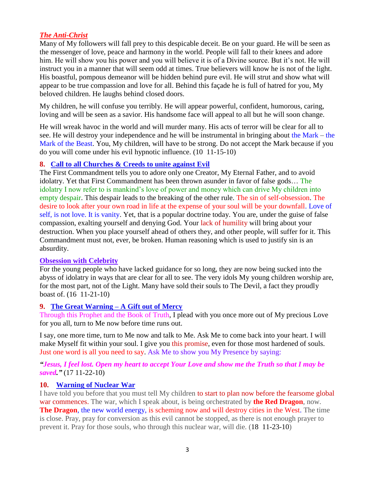### *The Anti-Christ*

Many of My followers will fall prey to this despicable deceit. Be on your guard. He will be seen as the messenger of love, peace and harmony in the world. People will fall to their knees and adore him. He will show you his power and you will believe it is of a Divine source. But it's not. He will instruct you in a manner that will seem odd at times. True believers will know he is not of the light. His boastful, pompous demeanor will be hidden behind pure evil. He will strut and show what will appear to be true compassion and love for all. Behind this façade he is full of hatred for you, My beloved children. He laughs behind closed doors.

My children, he will confuse you terribly. He will appear powerful, confident, humorous, caring, loving and will be seen as a savior. His handsome face will appeal to all but he will soon change.

He will wreak havoc in the world and will murder many. His acts of terror will be clear for all to see. He will destroy your independence and he will be instrumental in bringing about the Mark – the Mark of the Beast. You, My children, will have to be strong. Do not accept the Mark because if you do you will come under his evil hypnotic influence. (10 11-15-10)

### **8. [Call to all Churches & Creeds to unite against Evil](http://www.thewarningsecondcoming.com/call-to-all-churches-creeds-to-unite-against-evil/)**

The First Commandment tells you to adore only one Creator, My Eternal Father, and to avoid idolatry. Yet that First Commandment has been thrown asunder in favor of false gods… The idolatry I now refer to is mankind's love of power and money which can drive My children into empty despair. This despair leads to the breaking of the other rule. The sin of self-obsession. The desire to look after your own road in life at the expense of your soul will be your downfall. Love of self, is not love. It is vanity. Yet, that is a popular doctrine today. You are, under the guise of false compassion, exalting yourself and denying God. Your lack of humility will bring about your destruction. When you place yourself ahead of others they, and other people, will suffer for it. This Commandment must not, ever, be broken. Human reasoning which is used to justify sin is an absurdity.

### **Obsession with Celebrity**

For the young people who have lacked guidance for so long, they are now being sucked into the abyss of idolatry in ways that are clear for all to see. The very idols My young children worship are, for the most part, not of the Light. Many have sold their souls to The Devil, a fact they proudly boast of. (16 11-21-10)

### **9. [The Great Warning –](http://www.thewarningsecondcoming.com/the-great-warning-a-gift-out-of-mercy/) A Gift out of Mercy**

Through this Prophet and the Book of Truth, I plead with you once more out of My precious Love for you all, turn to Me now before time runs out.

I say, one more time, turn to Me now and talk to Me. Ask Me to come back into your heart. I will make Myself fit within your soul. I give you this promise, even for those most hardened of souls. Just one word is all you need to say. Ask Me to show you My Presence by saying:

*"Jesus, I feel lost. Open my heart to accept Your Love and show me the Truth so that I may be saved."* (17 11-22-10)

#### **10. [Warning of Nuclear War](http://www.thewarningsecondcoming.com/warning-of-nuclear-war/)**

I have told you before that you must tell My children to start to plan now before the fearsome global war commences. The war, which I speak about, is being orchestrated by **the Red Dragon**, now. **The Dragon**, the new world energy, is scheming now and will destroy cities in the West. The time is close. Pray, pray for conversion as this evil cannot be stopped, as there is not enough prayer to prevent it. Pray for those souls, who through this nuclear war, will die. (18 11-23-10)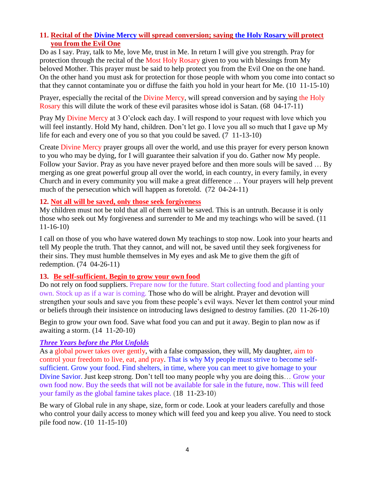### **11. Recital of the [Divine Mercy](http://www.thewarningsecondcoming.com/divine-mercy-chaplet/) will spread conversion; saying [the Holy Rosary](http://www.thewarningsecondcoming.com/how-to-pray-the-rosary/) will protect you from the Evil One**

Do as I say. Pray, talk to Me, love Me, trust in Me. In return I will give you strength. Pray for protection through the recital of the [Most Holy Rosary](http://www.thewarningsecondcoming.com/how-to-pray-the-rosary/) given to you with blessings from My beloved Mother. This prayer must be said to help protect you from the Evil One on the one hand. On the other hand you must ask for protection for those people with whom you come into contact so that they cannot contaminate you or diffuse the faith you hold in your heart for Me. (10 11-15-10)

Prayer, especially the recital of the [Divine Mercy,](http://www.thewarningsecondcoming.com/divine-mercy-chaplet/) will spread conversion and by saying the Holy [Rosary](http://www.thewarningsecondcoming.com/how-to-pray-the-rosary/) this will dilute the work of these evil parasites whose idol is Satan. (68 04-17-11)

Pray My [Divine Mercy](http://www.thewarningsecondcoming.com/divine-mercy-chaplet/) at 3 O'clock each day. I will respond to your request with love which you will feel instantly. Hold My hand, children. Don't let go. I love you all so much that I gave up My life for each and every one of you so that you could be saved. (7 11-13-10)

Create [Divine Mercy](http://www.thewarningsecondcoming.com/divine-mercy-chaplet/) prayer groups all over the world, and use this prayer for every person known to you who may be dying, for I will guarantee their salvation if you do. Gather now My people. Follow your Savior. Pray as you have never prayed before and then more souls will be saved … By merging as one great powerful group all over the world, in each country, in every family, in every Church and in every community you will make a great difference … Your prayers will help prevent much of the persecution which will happen as foretold. (72 04-24-11)

### **12. Not all will be saved, only those seek forgiveness**

My children must not be told that all of them will be saved. This is an untruth. Because it is only those who seek out My forgiveness and surrender to Me and my teachings who will be saved. (11 11-16-10)

I call on those of you who have watered down My teachings to stop now. Look into your hearts and tell My people the truth. That they cannot, and will not, be saved until they seek forgiveness for their sins. They must humble themselves in My eyes and ask Me to give them the gift of redemption. (74 04-26-11)

#### **13. Be self-sufficient. Begin to grow your own food**

Do not rely on food suppliers. Prepare now for the future. Start collecting food and planting your own. Stock up as if a war is coming. Those who do will be alright. Prayer and devotion will strengthen your souls and save you from these people's evil ways. Never let them control your mind or beliefs through their insistence on introducing laws designed to destroy families. (20 11-26-10)

Begin to grow your own food. Save what food you can and put it away. Begin to plan now as if awaiting a storm. (14 11-20-10)

### *Three Years before the Plot Unfolds*

As a global power takes over gently, with a false compassion, they will, My daughter, aim to control your freedom to live, eat, and pray. That is why My people must strive to become selfsufficient. Grow your food. Find shelters, in time, where you can meet to give homage to your Divine Savior. Just keep strong. Don't tell too many people why you are doing this… Grow your own food now. Buy the seeds that will not be available for sale in the future, now. This will feed your family as the global famine takes place. (18 11-23-10)

Be wary of Global rule in any shape, size, form or code. Look at your leaders carefully and those who control your daily access to money which will feed you and keep you alive. You need to stock pile food now. (10 11-15-10)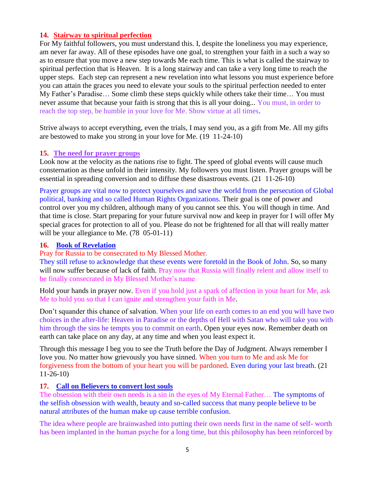### **14. [Stairway to spiritual perfection](http://www.thewarningsecondcoming.com/stairway-to-spiritual-perfection/)**

For My faithful followers, you must understand this. I, despite the loneliness you may experience, am never far away. All of these episodes have one goal, to strengthen your faith in a such a way so as to ensure that you move a new step towards Me each time. This is what is called the stairway to spiritual perfection that is Heaven. It is a long stairway and can take a very long time to reach the upper steps. Each step can represent a new revelation into what lessons you must experience before you can attain the graces you need to elevate your souls to the spiritual perfection needed to enter My Father's Paradise… Some climb these steps quickly while others take their time… You must never assume that because your faith is strong that this is all your doing... You must, in order to reach the top step, be humble in your love for Me. Show virtue at all times.

Strive always to accept everything, even the trials, I may send you, as a gift from Me. All my gifts are bestowed to make you strong in your love for Me. (19 11-24-10)

### **15. The need for prayer groups**

Look now at the velocity as the nations rise to fight. The speed of global events will cause much consternation as these unfold in their intensity. My followers you must listen. Prayer groups will be essential in spreading conversion and to diffuse these disastrous events. (21 11-26-10)

Prayer groups are vital now to protect yourselves and save the world from the persecution of Global political, banking and so called Human Rights Organizations. Their goal is one of power and control over you my children, although many of you cannot see this. You will though in time. And that time is close. Start preparing for your future survival now and keep in prayer for I will offer My special graces for protection to all of you. Please do not be frightened for all that will really matter will be your allegiance to Me. (78 05-01-11)

#### **16. [Book of Revelation](http://www.thewarningsecondcoming.com/book-of-revelation/)**

Pray for Russia to be consecrated to My Blessed Mother.

They still refuse to acknowledge that these events were foretold in the Book of John. So, so many will now suffer because of lack of faith. Pray now that Russia will finally relent and allow itself to be finally consecrated in My Blessed Mother's name

Hold your hands in prayer now. Even if you hold just a spark of affection in your heart for Me, ask Me to hold you so that I can ignite and strengthen your faith in Me.

Don't squander this chance of salvation. When your life on earth comes to an end you will have two choices in the after-life: Heaven in Paradise or the depths of Hell with Satan who will take you with him through the sins he tempts you to commit on earth. Open your eyes now. Remember death on earth can take place on any day, at any time and when you least expect it.

Through this message I beg you to see the Truth before the Day of Judgment. Always remember I love you. No matter how grievously you have sinned. When you turn to Me and ask Me for forgiveness from the bottom of your heart you will be pardoned. Even during your last breath. (21 11-26-10)

### **17. [Call on Believers to convert lost souls](http://www.thewarningsecondcoming.com/call-on-believers-to-convert-lost-souls/)**

The obsession with their own needs is a sin in the eyes of My Eternal Father… The symptoms of the selfish obsession with wealth, beauty and so-called success that many people believe to be natural attributes of the human make up cause terrible confusion.

The idea where people are brainwashed into putting their own needs first in the name of self- worth has been implanted in the human psyche for a long time, but this philosophy has been reinforced by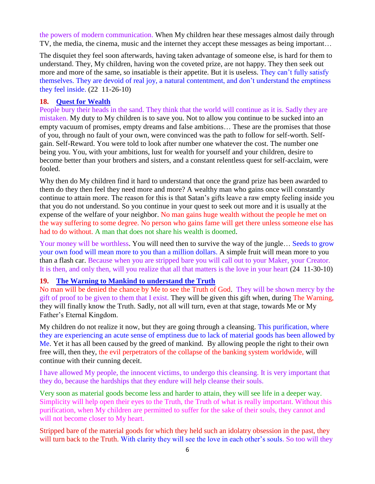the powers of modern communication. When My children hear these messages almost daily through TV, the media, the cinema, music and the internet they accept these messages as being important…

The disquiet they feel soon afterwards, having taken advantage of someone else, is hard for them to understand. They, My children, having won the coveted prize, are not happy. They then seek out more and more of the same, so insatiable is their appetite. But it is useless. They can't fully satisfy themselves. They are devoid of real joy, a natural contentment, and don't understand the emptiness they feel inside. (22 11-26-10)

#### **18. [Quest for Wealth](http://www.thewarningsecondcoming.com/quest-for-wealth/)**

People bury their heads in the sand. They think that the world will continue as it is. Sadly they are mistaken. My duty to My children is to save you. Not to allow you continue to be sucked into an empty vacuum of promises, empty dreams and false ambitions… These are the promises that those of you, through no fault of your own, were convinced was the path to follow for self-worth. Selfgain. Self-Reward. You were told to look after number one whatever the cost. The number one being you. You, with your ambitions, lust for wealth for yourself and your children, desire to become better than your brothers and sisters, and a constant relentless quest for self-acclaim, were fooled.

Why then do My children find it hard to understand that once the grand prize has been awarded to them do they then feel they need more and more? A wealthy man who gains once will constantly continue to attain more. The reason for this is that Satan's gifts leave a raw empty feeling inside you that you do not understand. So you continue in your quest to seek out more and it is usually at the expense of the welfare of your neighbor. No man gains huge wealth without the people he met on the way suffering to some degree. No person who gains fame will get there unless someone else has had to do without. A man that does not share his wealth is doomed.

Your money will be worthless. You will need then to survive the way of the jungle... Seeds to grow your own food will mean more to you than a million dollars. A simple fruit will mean more to you than a flash car. Because when you are stripped bare you will call out to your Maker, your Creator. It is then, and only then, will you realize that all that matters is the love in your heart (24 11-30-10)

#### **19. [The Warning to Mankind to understand the Truth](http://www.thewarningsecondcoming.com/the-warning-to-mankind/)**

No man will be denied the chance by Me to see the Truth of God. They will be shown mercy by the gift of proof to be given to them that I exist. They will be given this gift when, during The Warning, they will finally know the Truth. Sadly, not all will turn, even at that stage, towards Me or My Father's Eternal Kingdom.

My children do not realize it now, but they are going through a cleansing. This purification, where they are experiencing an acute sense of emptiness due to lack of material goods has been allowed by Me. Yet it has all been caused by the greed of mankind. By allowing people the right to their own free will, then they, the evil perpetrators of the collapse of the banking system worldwide, will continue with their cunning deceit.

I have allowed My people, the innocent victims, to undergo this cleansing. It is very important that they do, because the hardships that they endure will help cleanse their souls.

Very soon as material goods become less and harder to attain, they will see life in a deeper way. Simplicity will help open their eyes to the Truth, the Truth of what is really important. Without this purification, when My children are permitted to suffer for the sake of their souls, they cannot and will not become closer to My heart.

Stripped bare of the material goods for which they held such an idolatry obsession in the past, they will turn back to the Truth. With clarity they will see the love in each other's souls. So too will they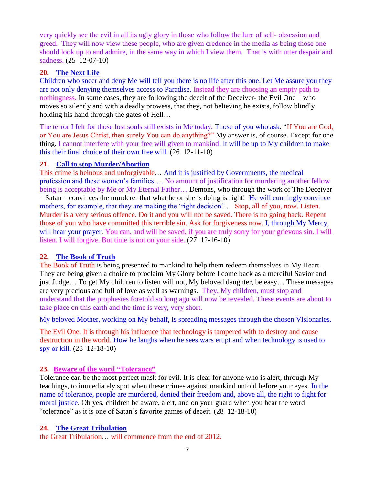very quickly see the evil in all its ugly glory in those who follow the lure of self- obsession and greed. They will now view these people, who are given credence in the media as being those one should look up to and admire, in the same way in which I view them. That is with utter despair and sadness. (25 12-07-10)

### **20. [The Next Life](http://www.thewarningsecondcoming.com/the-next-life/)**

Children who sneer and deny Me will tell you there is no life after this one. Let Me assure you they are not only denying themselves access to Paradise. Instead they are choosing an empty path to nothingness. In some cases, they are following the deceit of the Deceiver- the Evil One – who moves so silently and with a deadly prowess, that they, not believing he exists, follow blindly holding his hand through the gates of Hell…

The terror I felt for those lost souls still exists in Me today. Those of you who ask, "If You are God, or You are Jesus Christ, then surely You can do anything?" My answer is, of course. Except for one thing. I cannot interfere with your free will given to mankind. It will be up to My children to make this their final choice of their own free will. (26 12-11-10)

# **21. [Call to stop Murder/Abortion](http://www.thewarningsecondcoming.com/call-to-stop-murderabortion/)**

This crime is heinous and unforgivable… And it is justified by Governments, the medical profession and these women's families…. No amount of justification for murdering another fellow being is acceptable by Me or My Eternal Father… Demons, who through the work of The Deceiver – Satan – convinces the murderer that what he or she is doing is right! He will cunningly convince mothers, for example, that they are making the 'right decision'.... Stop, all of you, now. Listen. Murder is a very serious offence. Do it and you will not be saved. There is no going back. Repent those of you who have committed this terrible sin. Ask for forgiveness now. I, through My Mercy, will hear your prayer. You can, and will be saved, if you are truly sorry for your grievous sin. I will listen. I will forgive. But time is not on your side. (27 12-16-10)

# **22. [The Book of Truth](http://www.thewarningsecondcoming.com/the-book-of-truth/)**

The Book of Truth is being presented to mankind to help them redeem themselves in My Heart. They are being given a choice to proclaim My Glory before I come back as a merciful Savior and just Judge... To get My children to listen will not, My beloved daughter, be easy... These messages are very precious and full of love as well as warnings. They, My children, must stop and understand that the prophesies foretold so long ago will now be revealed. These events are about to take place on this earth and the time is very, very short.

My beloved Mother, working on My behalf, is spreading messages through the chosen Visionaries.

The Evil One. It is through his influence that technology is tampered with to destroy and cause destruction in the world. How he laughs when he sees wars erupt and when technology is used to spy or kill. (28 12-18-10)

# **23. Beware of the word "Tolerance"**

Tolerance can be the most perfect mask for evil. It is clear for anyone who is alert, through My teachings, to immediately spot when these crimes against mankind unfold before your eyes. In the name of tolerance, people are murdered, denied their freedom and, above all, the right to fight for moral justice. Oh yes, children be aware, alert, and on your guard when you hear the word "tolerance" as it is one of Satan's favorite games of deceit. (28 12-18-10)

# **24. [The Great Tribulation](http://www.thewarningsecondcoming.com/the-great-tribulation/)**

the Great Tribulation… will commence from the end of 2012.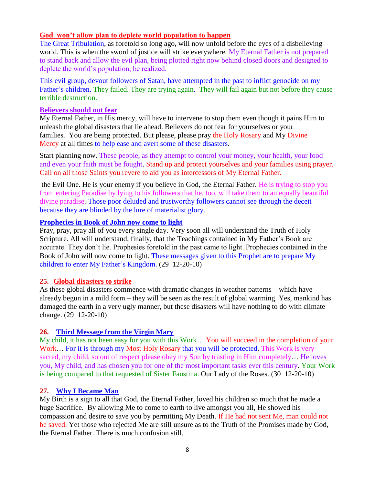### **God won't allow plan to deplete world population to happen**

The Great Tribulation, as foretold so long ago, will now unfold before the eyes of a disbelieving world. This is when the sword of justice will strike everywhere. My Eternal Father is not prepared to stand back and allow the evil plan, being plotted right now behind closed doors and designed to deplete the world's population, be realized.

This evil group, devout followers of Satan, have attempted in the past to inflict genocide on my Father's children. They failed. They are trying again. They will fail again but not before they cause terrible destruction.

#### **Believers should not fear**

My Eternal Father, in His mercy, will have to intervene to stop them even though it pains Him to unleash the global disasters that lie ahead. Believers do not fear for yourselves or your families. You are being protected. But please, please pray [the Holy Rosary](http://www.thewarningsecondcoming.com/how-to-pray-the-rosary/) and My [Divine](http://www.thewarningsecondcoming.com/divine-mercy-chaplet/)  [Mercy](http://www.thewarningsecondcoming.com/divine-mercy-chaplet/) at all times to help ease and avert some of these disasters.

Start planning now. These people, as they attempt to control your money, your health, your food and even your faith must be fought. Stand up and protect yourselves and your families using prayer. Call on all those Saints you revere to aid you as intercessors of My Eternal Father.

the Evil One. He is your enemy if you believe in God, the Eternal Father. He is trying to stop you from entering Paradise by lying to his followers that he, too, will take them to an equally beautiful divine paradise. Those poor deluded and trustworthy followers cannot see through the deceit because they are blinded by the lure of materialist glory.

### **Prophecies in Book of John now come to light**

Pray, pray, pray all of you every single day. Very soon all will understand the Truth of Holy Scripture. All will understand, finally, that the Teachings contained in My Father's Book are accurate. They don't lie. Prophesies foretold in the past came to light. Prophecies contained in the Book of John will now come to light. These messages given to this Prophet are to prepare My children to enter My Father's Kingdom. (29 12-20-10)

#### **25. Global disasters to strike**

As these global disasters commence with dramatic changes in weather patterns – which have already begun in a mild form – they will be seen as the result of global warming. Yes, mankind has damaged the earth in a very ugly manner, but these disasters will have nothing to do with climate change. (29 12-20-10)

### **26. [Third Message from the Virgin Mary](http://www.thewarningsecondcoming.com/third-message-from-the-virgin-mary/)**

My child, it has not been easy for you with this Work… You will succeed in the completion of your Work ... For it is through my [Most Holy Rosary](http://www.thewarningsecondcoming.com/how-to-pray-the-rosary/) that you will be protected. This Work is very sacred, my child, so out of respect please obey my Son by trusting in Him completely… He loves you, My child, and has chosen you for one of the most important tasks ever this century. Your Work is being compared to that requested of Sister Faustina. Our Lady of the Roses. (30 12-20-10)

### **27. [Why I Became Man](http://www.thewarningsecondcoming.com/why-i-became-man/)**

My Birth is a sign to all that God, the Eternal Father, loved his children so much that he made a huge Sacrifice. By allowing Me to come to earth to live amongst you all, He showed his compassion and desire to save you by permitting My Death. If He had not sent Me, man could not be saved. Yet those who rejected Me are still unsure as to the Truth of the Promises made by God, the Eternal Father. There is much confusion still.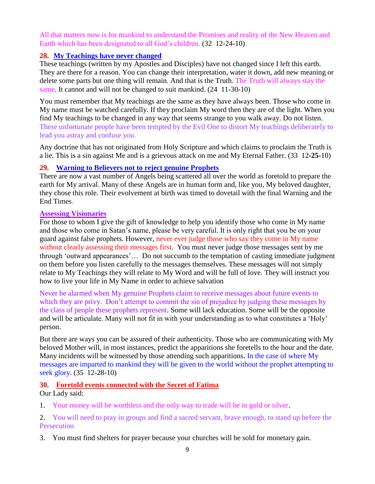All that matters now is for mankind to understand the Promises and reality of the New Heaven and Earth which has been designated to all God's children. (32 12-24-10)

### **28. My Teachings have never changed**

These teachings (written by my Apostles and Disciples) have not changed since I left this earth. They are there for a reason. You can change their interpretation, water it down, add new meaning or delete some parts but one thing will remain. And that is the Truth. The Truth will always stay the same. It cannot and will not be changed to suit mankind.  $(24 \text{ } 11\text{-}30\text{-}10)$ 

You must remember that My teachings are the same as they have always been. Those who come in My name must be watched carefully. If they proclaim My word then they are of the light. When you find My teachings to be changed in any way that seems strange to you walk away. Do not listen. These unfortunate people have been tempted by the Evil One to distort My teachings deliberately to lead you astray and confuse you.

Any doctrine that has not originated from Holy Scripture and which claims to proclaim the Truth is a lie. This is a sin against Me and is a grievous attack on me and My Eternal Father. (33 12**-25-**10)

### **29. [Warning to Believers not to reject genuine Prophets](http://www.thewarningsecondcoming.com/warning-to-believers-not-to-reject-genuine-prophets/)**

There are now a vast number of Angels being scattered all over the world as foretold to prepare the earth for My arrival. Many of these Angels are in human form and, like you, My beloved daughter, they chose this role. Their evolvement at birth was timed to dovetail with the final Warning and the End Times.

### **Assessing Visionaries**

For those to whom I give the gift of knowledge to help you identify those who come in My name and those who come in Satan's name, please be very careful. It is only right that you be on your guard against false prophets. However, never ever judge those who say they come in My name without clearly assessing their messages first. You must never judge those messages sent by me through 'outward appearances'… Do not succumb to the temptation of casting immediate judgment on them before you listen carefully to the messages themselves. These messages will not simply relate to My Teachings they will relate to My Word and will be full of love. They will instruct you how to live your life in My Name in order to achieve salvation

Never be alarmed when My genuine Prophets claim to receive messages about future events to which they are privy. Don't attempt to commit the sin of prejudice by judging these messages by the class of people these prophets represent. Some will lack education. Some will be the opposite and will be articulate. Many will not fit in with your understanding as to what constitutes a 'Holy' person.

But there are ways you can be assured of their authenticity. Those who are communicating with My beloved Mother will, in most instances, predict the apparitions she foretells to the hour and the date. Many incidents will be witnessed by those attending such apparitions. In the case of where My messages are imparted to mankind they will be given to the world without the prophet attempting to seek glory. (35 12-28-10)

### **30. Foretold events connected with the Secret of Fatima**

Our Lady said:

1. Your money will be worthless and the only way to trade will be in gold or silver.

2. You will need to pray in groups and find a sacred servant, brave enough, to stand up before the **Persecution** 

3. You must find shelters for prayer because your churches will be sold for monetary gain.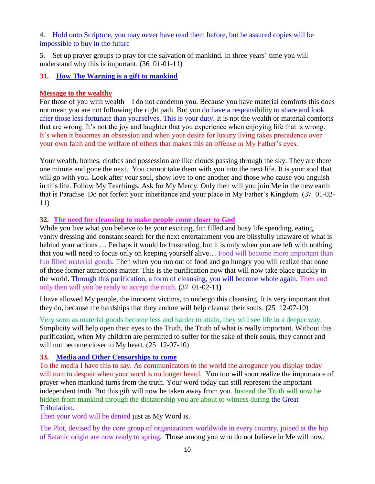4. Hold onto Scripture, you may never have read them before, but be assured copies will be impossible to buy in the future

5. Set up prayer groups to pray for the salvation of mankind. In three years' time you will understand why this is important. (36 01-01-11)

### **31. [How The Warning is a gift to mankind](http://www.thewarningsecondcoming.com/how-the-warning-is-a-gift-to-mankind/)**

#### **Message to the wealthy**

For those of you with wealth – I do not condemn you. Because you have material comforts this does not mean you are not following the right path. But you do have a responsibility to share and look after those less fortunate than yourselves. This is your duty. It is not the wealth or material comforts that are wrong. It's not the joy and laughter that you experience when enjoying life that is wrong. It's when it becomes an obsession and when your desire for luxury living takes precedence over your own faith and the welfare of others that makes this an offense in My Father's eyes.

Your wealth, homes, clothes and possession are like clouds passing through the sky. They are there one minute and gone the next. You cannot take them with you into the next life. It is your soul that will go with you. Look after your soul, show love to one another and those who cause you anguish in this life. Follow My Teachings. Ask for My Mercy. Only then will you join Me in the new earth that is Paradise. Do not forfeit your inheritance and your place in My Father's Kingdom. (37 01-02- 11)

### **32. The need for cleansing to make people come closer to God**

While you live what you believe to be your exciting, fun filled and busy life spending, eating, vanity dressing and constant search for the next entertainment you are blissfully unaware of what is behind your actions … Perhaps it would be frustrating, but it is only when you are left with nothing that you will need to focus only on keeping yourself alive… Food will become more important than fun filled material goods. Then when you run out of food and go hungry you will realize that none of those former attractions matter. This is the purification now that will now take place quickly in the world. Through this purification, a form of cleansing, you will become whole again. Then and only then will you be ready to accept the truth. (37 01-02-11**)**

I have allowed My people, the innocent victims, to undergo this cleansing. It is very important that they do, because the hardships that they endure will help cleanse their souls. (25 12-07-10)

Very soon as material goods become less and harder to attain, they will see life in a deeper way. Simplicity will help open their eyes to the Truth, the Truth of what is really important. Without this purification, when My children are permitted to suffer for the sake of their souls, they cannot and will not become closer to My heart.  $(25 \t12-07-10)$ 

### **33. [Media and Other Censorships to come](http://www.thewarningsecondcoming.com/media-and-other-censorships-to-come/)**

To the media I have this to say. As communicators to the world the arrogance you display today will turn to despair when your word is no longer heard. You too will soon realize the importance of prayer when mankind turns from the truth. Your word today can still represent the important independent truth. But this gift will now be taken away from you. Instead the Truth will now be hidden from mankind through the dictatorship you are about to witness during the Great Tribulation.

Then your word will be denied just as My Word is.

The Plot, devised by the core group of organizations worldwide in every country, joined at the hip of Satanic origin are now ready to spring. Those among you who do not believe in Me will now,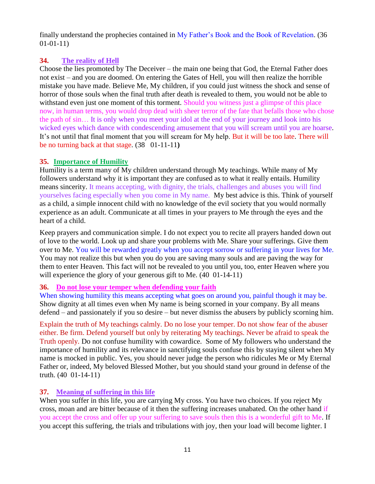finally understand the prophecies contained in My Father's Book and the Book of Revelation. (36 01-01-11)

# **34. The reality of Hell**

Choose the lies promoted by The Deceiver – the main one being that God, the Eternal Father does not exist – and you are doomed. On entering the Gates of Hell, you will then realize the horrible mistake you have made. Believe Me, My children, if you could just witness the shock and sense of horror of those souls when the final truth after death is revealed to them, you would not be able to withstand even just one moment of this torment. Should you witness just a glimpse of this place now, in human terms, you would drop dead with sheer terror of the fate that befalls those who chose the path of sin… It is only when you meet your idol at the end of your journey and look into his wicked eyes which dance with condescending amusement that you will scream until you are hoarse. It's not until that final moment that you will scream for My help. But it will be too late. There will be no turning back at that stage. (38 01-11-11**)** 

## **35. Importance of Humility**

Humility is a term many of My children understand through My teachings. While many of My followers understand why it is important they are confused as to what it really entails. Humility means sincerity. It means accepting, with dignity, the trials, challenges and abuses you will find yourselves facing especially when you come in My name. My best advice is this. Think of yourself as a child, a simple innocent child with no knowledge of the evil society that you would normally experience as an adult. Communicate at all times in your prayers to Me through the eyes and the heart of a child.

Keep prayers and communication simple. I do not expect you to recite all prayers handed down out of love to the world. Look up and share your problems with Me. Share your sufferings. Give them over to Me. You will be rewarded greatly when you accept sorrow or suffering in your lives for Me. You may not realize this but when you do you are saving many souls and are paving the way for them to enter Heaven. This fact will not be revealed to you until you, too, enter Heaven where you will experience the glory of your generous gift to Me. (40 01-14-11)

# **36. Do not lose your temper when defending your faith**

When showing humility this means accepting what goes on around you, painful though it may be. Show dignity at all times even when My name is being scorned in your company. By all means defend – and passionately if you so desire – but never dismiss the abusers by publicly scorning him.

Explain the truth of My teachings calmly. Do no lose your temper. Do not show fear of the abuser either. Be firm. Defend yourself but only by reiterating My teachings. Never be afraid to speak the Truth openly. Do not confuse humility with cowardice. Some of My followers who understand the importance of humility and its relevance in sanctifying souls confuse this by staying silent when My name is mocked in public. Yes, you should never judge the person who ridicules Me or My Eternal Father or, indeed, My beloved Blessed Mother, but you should stand your ground in defense of the truth. (40 01-14-11)

# **37. Meaning of suffering in this life**

When you suffer in this life, you are carrying My cross. You have two choices. If you reject My cross, moan and are bitter because of it then the suffering increases unabated. On the other hand if you accept the cross and offer up your suffering to save souls then this is a wonderful gift to Me. If you accept this suffering, the trials and tribulations with joy, then your load will become lighter. I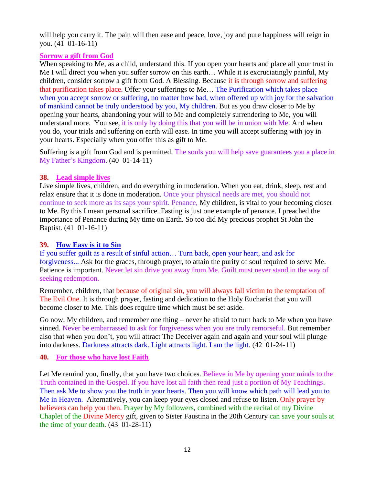will help you carry it. The pain will then ease and peace, love, joy and pure happiness will reign in you. (41 01-16-11)

### **Sorrow a gift from God**

When speaking to Me, as a child, understand this. If you open your hearts and place all your trust in Me I will direct you when you suffer sorrow on this earth… While it is excruciatingly painful, My children, consider sorrow a gift from God. A Blessing. Because it is through sorrow and suffering that purification takes place. Offer your sufferings to Me… The Purification which takes place when you accept sorrow or suffering, no matter how bad, when offered up with joy for the salvation of mankind cannot be truly understood by you, My children. But as you draw closer to Me by opening your hearts, abandoning your will to Me and completely surrendering to Me, you will understand more. You see, it is only by doing this that you will be in union with Me. And when you do, your trials and suffering on earth will ease. In time you will accept suffering with joy in your hearts. Especially when you offer this as gift to Me.

Suffering is a gift from God and is permitted. The souls you will help save guarantees you a place in My Father's Kingdom. (40 01-14-11)

### **38. Lead simple lives**

Live simple lives, children, and do everything in moderation. When you eat, drink, sleep, rest and relax ensure that it is done in moderation. Once your physical needs are met, you should not continue to seek more as its saps your spirit. Penance, My children, is vital to your becoming closer to Me. By this I mean personal sacrifice. Fasting is just one example of penance. I preached the importance of Penance during My time on Earth. So too did My precious prophet St John the Baptist. (41 01-16-11)

### **39. [How Easy is it to Sin](http://www.thewarningsecondcoming.com/how-easy-is-it-to-sin/)**

If you suffer guilt as a result of sinful action… Turn back, open your heart, and ask for forgiveness... Ask for the graces, through prayer, to attain the purity of soul required to serve Me. Patience is important. Never let sin drive you away from Me. Guilt must never stand in the way of seeking redemption.

Remember, children, that because of original sin, you will always fall victim to the temptation of The Evil One. It is through prayer, fasting and dedication to the Holy Eucharist that you will become closer to Me. This does require time which must be set aside.

Go now, My children, and remember one thing – never be afraid to turn back to Me when you have sinned. Never be embarrassed to ask for forgiveness when you are truly remorseful. But remember also that when you don't, you will attract The Deceiver again and again and your soul will plunge into darkness. Darkness attracts dark. Light attracts light. I am the light. (42 01-24-11)

### **40. For those who have lost Faith**

Let Me remind you, finally, that you have two choices. Believe in Me by opening your minds to the Truth contained in the Gospel. If you have lost all faith then read just a portion of My Teachings. Then ask Me to show you the truth in your hearts. Then you will know which path will lead you to Me in Heaven. Alternatively, you can keep your eyes closed and refuse to listen. Only prayer by believers can help you then. Prayer by My followers, combined with the recital of my Divine Chaplet of the [Divine Mercy](http://www.thewarningsecondcoming.com/divine-mercy-chaplet/) gift, given to Sister Faustina in the 20th Century can save your souls at the time of your death.  $(43 \t01-28-11)$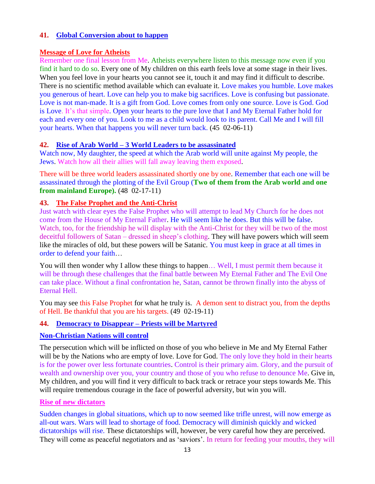### **41. [Global Conversion about to happen](http://www.thewarningsecondcoming.com/global-conversion-about-to-happen/)**

#### **Message of Love for Atheists**

Remember one final lesson from Me. Atheists everywhere listen to this message now even if you find it hard to do so. Every one of My children on this earth feels love at some stage in their lives. When you feel love in your hearts you cannot see it, touch it and may find it difficult to describe. There is no scientific method available which can evaluate it. Love makes you humble. Love makes you generous of heart. Love can help you to make big sacrifices. Love is confusing but passionate. Love is not man-made. It is a gift from God. Love comes from only one source. Love is God. God is Love. It's that simple. Open your hearts to the pure love that I and My Eternal Father hold for each and every one of you. Look to me as a child would look to its parent. Call Me and I will fill your hearts. When that happens you will never turn back. (45 02-06-11)

### **42. Rise of Arab World – [3 World Leaders to be assassinated](http://www.thewarningsecondcoming.com/rise-of-arab-world-3-world-leaders-to-be-assassinated/)**

Watch now, My daughter, the speed at which the Arab world will unite against My people, the Jews. Watch how all their allies will fall away leaving them exposed.

There will be three world leaders assassinated shortly one by one. Remember that each one will be assassinated through the plotting of the Evil Group (**Two of them from the Arab world and one from mainland Europe).** (48 02-17-11)

### **43. The False Prophet and the Anti-Christ**

Just watch with clear eyes the False Prophet who will attempt to lead My Church for he does not come from the House of My Eternal Father. He will seem like he does. But this will be false. Watch, too, for the friendship he will display with the Anti-Christ for they will be two of the most deceitful followers of Satan – dressed in sheep's clothing. They will have powers which will seem like the miracles of old, but these powers will be Satanic. You must keep in grace at all times in order to defend your faith…

You will then wonder why I allow these things to happen… Well, I must permit them because it will be through these challenges that the final battle between My Eternal Father and The Evil One can take place. Without a final confrontation he, Satan, cannot be thrown finally into the abyss of Eternal Hell.

You may see this False Prophet for what he truly is. A demon sent to distract you, from the depths of Hell. Be thankful that you are his targets. (49 02-19-11)

#### **44. [Democracy to Disappear –](http://www.thewarningsecondcoming.com/democracy-to-disappear-priests-will-be-martyred/) Priests will be Martyred**

#### **Non-Christian Nations will control**

The persecution which will be inflicted on those of you who believe in Me and My Eternal Father will be by the Nations who are empty of love. Love for God. The only love they hold in their hearts is for the power over less fortunate countries. Control is their primary aim. Glory, and the pursuit of wealth and ownership over you, your country and those of you who refuse to denounce Me. Give in, My children, and you will find it very difficult to back track or retrace your steps towards Me. This will require tremendous courage in the face of powerful adversity, but win you will.

#### **Rise of new dictators**

Sudden changes in global situations, which up to now seemed like trifle unrest, will now emerge as all-out wars. Wars will lead to shortage of food. Democracy will diminish quickly and wicked dictatorships will rise. These dictatorships will, however, be very careful how they are perceived. They will come as peaceful negotiators and as 'saviors'. In return for feeding your mouths, they will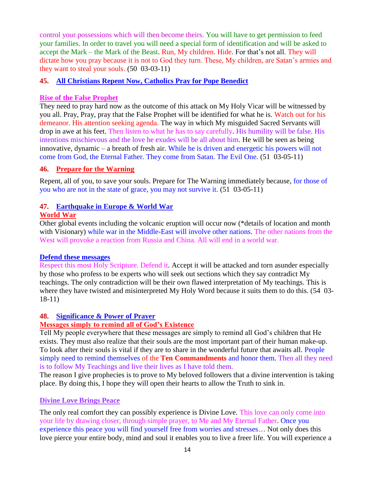control your possessions which will then become theirs. You will have to get permission to feed your families. In order to travel you will need a special form of identification and will be asked to accept the Mark – the Mark of the Beast. Run, My children. Hide. For that's not all. They will dictate how you pray because it is not to God they turn. These, My children, are Satan's armies and they want to steal your souls. (50 03-03-11)

### **45. All Christians Repent Now, Catholics Pray for Pope Benedict**

#### **Rise of the False Prophet**

They need to pray hard now as the outcome of this attack on My Holy Vicar will be witnessed by you all. Pray, Pray, pray that the False Prophet will be identified for what he is. Watch out for his demeanor. His attention seeking agenda. The way in which My misguided Sacred Servants will drop in awe at his feet. Then listen to what he has to say carefully. His humility will be false. His intentions mischievous and the love he exudes will be all about him. He will be seen as being innovative, dynamic – a breath of fresh air. While he is driven and energetic his powers will not come from God, the Eternal Father. They come from Satan. The Evil One. (51 03-05-11)

#### **46. Prepare for the Warning**

Repent, all of you, to save your souls. Prepare for The Warning immediately because, for those of you who are not in the state of grace, you may not survive it. (51 03-05-11)

#### **47. [Earthquake in Europe & World War](http://www.thewarningsecondcoming.com/earthquake-in-europe-world-war/) World War**

Other global events including the volcanic eruption will occur now (\*details of location and month with Visionary) while war in the Middle-East will involve other nations. The other nations from the West will provoke a reaction from Russia and China. All will end in a world war.

#### **Defend these messages**

Respect this most Holy Scripture. Defend it. Accept it will be attacked and torn asunder especially by those who profess to be experts who will seek out sections which they say contradict My teachings. The only contradiction will be their own flawed interpretation of My teachings. This is where they have twisted and misinterpreted My Holy Word because it suits them to do this. (54 03- 18-11)

#### **48. [Significance & Power of Prayer](http://www.thewarningsecondcoming.com/significance-power-of-prayer/)**

#### **Messages simply to remind all of God's Existence**

Tell My people everywhere that these messages are simply to remind all God's children that He exists. They must also realize that their souls are the most important part of their human make-up. To look after their souls is vital if they are to share in the wonderful future that awaits all. People simply need to remind themselves of the **Ten Commandments** and honor them. Then all they need is to follow My Teachings and live their lives as I have told them.

The reason I give prophecies is to prove to My beloved followers that a divine intervention is taking place. By doing this, I hope they will open their hearts to allow the Truth to sink in.

#### **Divine Love Brings Peace**

The only real comfort they can possibly experience is Divine Love. This love can only come into your life by drawing closer, through simple prayer, to Me and My Eternal Father. Once you experience this peace you will find yourself free from worries and stresses… Not only does this love pierce your entire body, mind and soul it enables you to live a freer life. You will experience a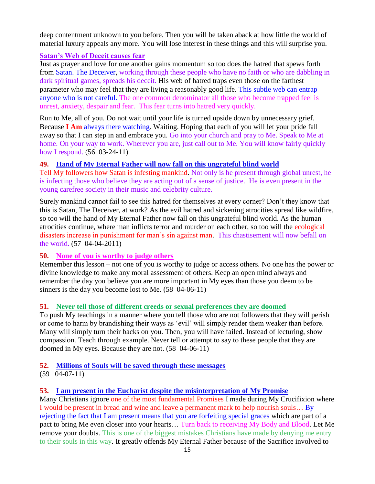deep contentment unknown to you before. Then you will be taken aback at how little the world of material luxury appeals any more. You will lose interest in these things and this will surprise you.

### **Satan's Web of Deceit causes fear**

Just as prayer and love for one another gains momentum so too does the hatred that spews forth from Satan. The Deceiver, working through these people who have no faith or who are dabbling in dark spiritual games, spreads his deceit. His web of hatred traps even those on the farthest parameter who may feel that they are living a reasonably good life. This subtle web can entrap anyone who is not careful. The one common denominator all those who become trapped feel is unrest, anxiety, despair and fear. This fear turns into hatred very quickly.

Run to Me, all of you. Do not wait until your life is turned upside down by unnecessary grief. Because **I Am** always there watching. Waiting. Hoping that each of you will let your pride fall away so that I can step in and embrace you. Go into your church and pray to Me. Speak to Me at home. On your way to work. Wherever you are, just call out to Me. You will know fairly quickly how I respond. (56 03-24-11)

### **49. [Hand of My Eternal Father will now fall on this ungrateful blind world](http://www.thewarningsecondcoming.com/hand-of-my-eternal-father-will-now-fall-on-this-ungrateful-blind-world/)**

Tell My followers how Satan is infesting mankind. Not only is he present through global unrest, he is infecting those who believe they are acting out of a sense of justice. He is even present in the young carefree society in their music and celebrity culture.

Surely mankind cannot fail to see this hatred for themselves at every corner? Don't they know that this is Satan, The Deceiver, at work? As the evil hatred and sickening atrocities spread like wildfire, so too will the hand of My Eternal Father now fall on this ungrateful blind world. As the human atrocities continue, where man inflicts terror and murder on each other, so too will the ecological disasters increase in punishment for man's sin against man. This chastisement will now befall on the world. (57 04-04-2011)

### **50. None of you is worthy to judge others**

Remember this lesson – not one of you is worthy to judge or access others. No one has the power or divine knowledge to make any moral assessment of others. Keep an open mind always and remember the day you believe you are more important in My eyes than those you deem to be sinners is the day you become lost to Me.  $(58 \text{ } 04\text{-}06\text{-}11)$ 

### **51. Never tell those of different creeds or sexual preferences they are doomed**

To push My teachings in a manner where you tell those who are not followers that they will perish or come to harm by brandishing their ways as 'evil' will simply render them weaker than before. Many will simply turn their backs on you. Then, you will have failed. Instead of lecturing, show compassion. Teach through example. Never tell or attempt to say to these people that they are doomed in My eyes. Because they are not. (58 04-06-11)

### **52. [Millions of Souls will be saved through these messages](http://www.thewarningsecondcoming.com/millions-of-souls-will-be-saved-through-these-messages/)**

(59 04-07-11)

#### **53. [I am present in the Eucharist despite the misinterpretation of My Promise](http://www.thewarningsecondcoming.com/i-am-present-in-the-eucharist-despite-the-misinterpretation-of-my-promise/)**

Many Christians ignore one of the most fundamental Promises I made during My Crucifixion where I would be present in bread and wine and leave a permanent mark to help nourish souls… By rejecting the fact that I am present means that you are forfeiting special graces which are part of a pact to bring Me even closer into your hearts… Turn back to receiving My Body and Blood. Let Me remove your doubts. This is one of the biggest mistakes Christians have made by denying me entry to their souls in this way. It greatly offends My Eternal Father because of the Sacrifice involved to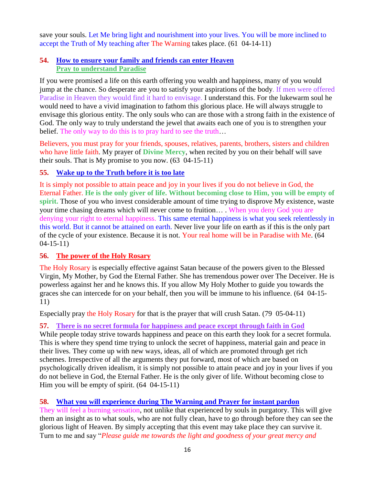save your souls. Let Me bring light and nourishment into your lives. You will be more inclined to accept the Truth of My teaching after The Warning takes place. (61 04-14-11)

### **54. [How to ensure your family and friends can enter Heaven](http://www.thewarningsecondcoming.com/how-to-ensure-your-family-and-friends-can-enter-heaven/) Pray to understand Paradise**

If you were promised a life on this earth offering you wealth and happiness, many of you would jump at the chance. So desperate are you to satisfy your aspirations of the body. If men were offered Paradise in Heaven they would find it hard to envisage. I understand this. For the lukewarm soul he would need to have a vivid imagination to fathom this glorious place. He will always struggle to envisage this glorious entity. The only souls who can are those with a strong faith in the existence of God. The only way to truly understand the jewel that awaits each one of you is to strengthen your belief. The only way to do this is to pray hard to see the truth…

Believers, you must pray for your friends, spouses, relatives, parents, brothers, sisters and children who have little faith. My prayer of **[Divine Mercy](http://www.thewarningsecondcoming.com/divine-mercy-chaplet/)**, when recited by you on their behalf will save their souls. That is My promise to you now. (63 04-15-11)

# **55. [Wake up to the Truth before it is too late](http://www.thewarningsecondcoming.com/wake-up-to-the-truth-before-it-is-too-late/)**

It is simply not possible to attain peace and joy in your lives if you do not believe in God, the Eternal Father. **He is the only giver of life. Without becoming close to Him, you will be empty of spirit.** Those of you who invest considerable amount of time trying to disprove My existence, waste your time chasing dreams which will never come to fruition… . When you deny God you are denying your right to eternal happiness. This same eternal happiness is what you seek relentlessly in this world. But it cannot be attained on earth. Never live your life on earth as if this is the only part of the cycle of your existence. Because it is not. Your real home will be in Paradise with Me. (64 04-15-11)

# **56. The power of the Holy Rosary**

[The Holy Rosary](http://www.thewarningsecondcoming.com/how-to-pray-the-rosary/) is especially effective against Satan because of the powers given to the Blessed Virgin, My Mother, by God the Eternal Father. She has tremendous power over The Deceiver. He is powerless against her and he knows this. If you allow My Holy Mother to guide you towards the graces she can intercede for on your behalf, then you will be immune to his influence. (64 04-15- 11)

Especially pray [the Holy Rosary](http://www.thewarningsecondcoming.com/how-to-pray-the-rosary/) for that is the prayer that will crush Satan. (79 05-04-11)

# **57. There is no secret formula for happiness and peace except through faith in God**

While people today strive towards happiness and peace on this earth they look for a secret formula. This is where they spend time trying to unlock the secret of happiness, material gain and peace in their lives. They come up with new ways, ideas, all of which are promoted through get rich schemes. Irrespective of all the arguments they put forward, most of which are based on psychologically driven idealism, it is simply not possible to attain peace and joy in your lives if you do not believe in God, the Eternal Father. He is the only giver of life. Without becoming close to Him you will be empty of spirit. (64 04-15-11)

# **58. [What you will experience during The Warning and Prayer for instant pardon](http://www.thewarningsecondcoming.com/what-you-will-experience-during-the-warning-and-prayer-for-instant-pardon/)**

They will feel a burning sensation, not unlike that experienced by souls in purgatory. This will give them an insight as to what souls, who are not fully clean, have to go through before they can see the glorious light of Heaven. By simply accepting that this event may take place they can survive it. Turn to me and say "*Please guide me towards the light and goodness of your great mercy and*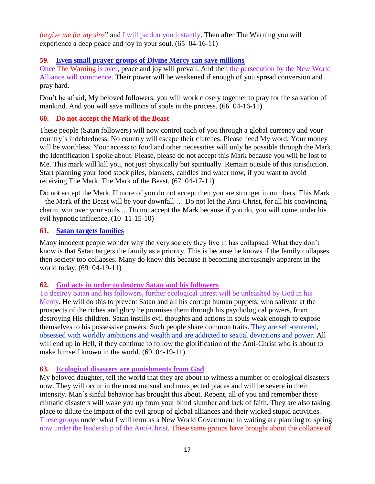*forgive me for my sins*" and I will pardon you instantly. Then after The Warning you will experience a deep peace and joy in your soul. (65 04-16-11)

### **59. [Even small prayer groups of Divine Mercy can save millions](http://www.thewarningsecondcoming.com/even-small-prayer-groups-of-divine-mercy-can-save-millions/)**

Once The Warning is over, peace and joy will prevail. And then the persecution by the New World Alliance will commence. Their power will be weakened if enough of you spread conversion and pray hard.

Don't be afraid, My beloved followers, you will work closely together to pray for the salvation of mankind. And you will save millions of souls in the process. (66 04-16-11**)**

# **60. Do not accept the Mark of the Beast**

These people (Satan followers) will now control each of you through a global currency and your country´s indebtedness. No country will escape their clutches. Please heed My word. Your money will be worthless. Your access to food and other necessities will only be possible through the Mark, the identification I spoke about. Please, please do not accept this Mark because you will be lost to Me. This mark will kill you, not just physically but spiritually. Remain outside of this jurisdiction. Start planning your food stock piles, blankets, candles and water now, if you want to avoid receiving The Mark. The Mark of the Beast. (67 04-17-11)

Do not accept the Mark. If more of you do not accept then you are stronger in numbers. This Mark – the Mark of the Beast will be your downfall … Do not let the Anti-Christ, for all his convincing charm, win over your souls ... Do not accept the Mark because if you do, you will come under his evil hypnotic influence. (10 11-15-10)

### **61. Satan targets families**

Many innocent people wonder why the very society they live in has collapsed. What they don't know is that Satan targets the family as a priority. This is because he knows if the family collapses then society too collapses. Many do know this because it becoming increasingly apparent in the world today. (69 04-19-11)

# **62. God acts in order to destroy Satan and his followers**

To destroy Satan and his followers, further ecological unrest will be unleashed by God in his Mercy. He will do this to prevent Satan and all his corrupt human puppets, who salivate at the prospects of the riches and glory he promises them through his psychological powers, from destroying His children. Satan instills evil thoughts and actions in souls weak enough to expose themselves to his possessive powers. Such people share common traits. They are self-centered, obsessed with worldly ambitions and wealth and are addicted to sexual deviations and power. All will end up in Hell, if they continue to follow the glorification of the Anti-Christ who is about to make himself known in the world. (69 04-19-11)

# **63. Ecological disasters are punishments from God**

My beloved daughter, tell the world that they are about to witness a number of ecological disasters now. They will occur in the most unusual and unexpected places and will be severe in their intensity. Man´s sinful behavior has brought this about. Repent, all of you and remember these climatic disasters will wake you up from your blind slumber and lack of faith. They are also taking place to dilute the impact of the evil group of global alliances and their wicked stupid activities. These groups under what I will term as a New World Government in waiting are planning to spring now under the leadership of the Anti-Christ. These same groups have brought about the collapse of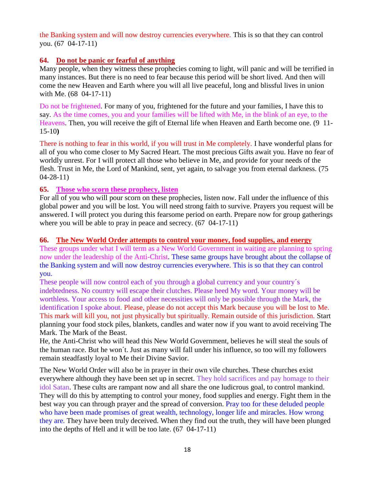the Banking system and will now destroy currencies everywhere. This is so that they can control you. (67 04-17-11)

### **64. Do not be panic or fearful of anything**

Many people, when they witness these prophecies coming to light, will panic and will be terrified in many instances. But there is no need to fear because this period will be short lived. And then will come the new Heaven and Earth where you will all live peaceful, long and blissful lives in union with Me. (68 04-17-11)

Do not be frightened. For many of you, frightened for the future and your families, I have this to say. As the time comes, you and your families will be lifted with Me, in the blink of an eye, to the Heavens. Then, you will receive the gift of Eternal life when Heaven and Earth become one. (9 11- 15-10**)**

There is nothing to fear in this world, if you will trust in Me completely. I have wonderful plans for all of you who come closer to My Sacred Heart. The most precious Gifts await you. Have no fear of worldly unrest. For I will protect all those who believe in Me, and provide for your needs of the flesh. Trust in Me, the Lord of Mankind, sent, yet again, to salvage you from eternal darkness. (75 04-28-11)

### **65. Those who scorn these prophecy, listen**

For all of you who will pour scorn on these prophecies, listen now. Fall under the influence of this global power and you will be lost. You will need strong faith to survive. Prayers you request will be answered. I will protect you during this fearsome period on earth. Prepare now for group gatherings where you will be able to pray in peace and secrecy. (67 04-17-11)

### **66. The New World Order attempts to control your money, food supplies, and energy**

These groups under what I will term as a New World Government in waiting are planning to spring now under the leadership of the Anti-Christ. These same groups have brought about the collapse of the Banking system and will now destroy currencies everywhere. This is so that they can control you.

These people will now control each of you through a global currency and your country´s indebtedness. No country will escape their clutches. Please heed My word. Your money will be worthless. Your access to food and other necessities will only be possible through the Mark, the identification I spoke about. Please, please do not accept this Mark because you will be lost to Me. This mark will kill you, not just physically but spiritually. Remain outside of this jurisdiction. Start planning your food stock piles, blankets, candles and water now if you want to avoid receiving The Mark. The Mark of the Beast.

He, the Anti-Christ who will head this New World Government, believes he will steal the souls of the human race. But he won´t. Just as many will fall under his influence, so too will my followers remain steadfastly loyal to Me their Divine Savior.

The New World Order will also be in prayer in their own vile churches. These churches exist everywhere although they have been set up in secret. They hold sacrifices and pay homage to their idol Satan. These cults are rampant now and all share the one ludicrous goal, to control mankind. They will do this by attempting to control your money, food supplies and energy. Fight them in the best way you can through prayer and the spread of conversion. Pray too for these deluded people who have been made promises of great wealth, technology, longer life and miracles. How wrong they are. They have been truly deceived. When they find out the truth, they will have been plunged into the depths of Hell and it will be too late. (67 04-17-11)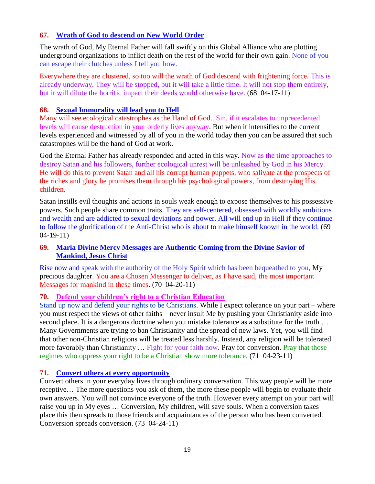# **67. [Wrath of God to descend on New World Order](http://www.thewarningsecondcoming.com/wrath-of-god-to-descend-on-new-world-order/)**

The wrath of God, My Eternal Father will fall swiftly on this Global Alliance who are plotting underground organizations to inflict death on the rest of the world for their own gain. None of you can escape their clutches unless I tell you how.

Everywhere they are clustered, so too will the wrath of God descend with frightening force. This is already underway. They will be stopped, but it will take a little time. It will not stop them entirely, but it will dilute the horrific impact their deeds would otherwise have. (68 04-17-11)

### **68. Sexual Immorality will lead you to Hell**

Many will see ecological catastrophes as the Hand of God.. Sin, if it escalates to unprecedented levels will cause destruction in your orderly lives anyway. But when it intensifies to the current levels experienced and witnessed by all of you in the world today then you can be assured that such catastrophes will be the hand of God at work.

God the Eternal Father has already responded and acted in this way. Now as the time approaches to destroy Satan and his followers, further ecological unrest will be unleashed by God in his Mercy. He will do this to prevent Satan and all his corrupt human puppets, who salivate at the prospects of the riches and glory he promises them through his psychological powers, from destroying His children.

Satan instills evil thoughts and actions in souls weak enough to expose themselves to his possessive powers. Such people share common traits. They are self-centered, obsessed with worldly ambitions and wealth and are addicted to sexual deviations and power. All will end up in Hell if they continue to follow the glorification of the Anti-Christ who is about to make himself known in the world. (69 04-19-11)

### **69. Maria Divine Mercy Messages are Authentic Coming from the Divine Savior of Mankind, Jesus Christ**

Rise now and speak with the authority of the Holy Spirit which has been bequeathed to you, My precious daughter. You are a Chosen Messenger to deliver, as I have said, the most important Messages for mankind in these times. (70 04-20-11)

### **70. Defend your children's right to a Christian Education**

Stand up now and defend your rights to be Christians. While I expect tolerance on your part – where you must respect the views of other faiths – never insult Me by pushing your Christianity aside into second place. It is a dangerous doctrine when you mistake tolerance as a substitute for the truth ... Many Governments are trying to ban Christianity and the spread of new laws. Yet, you will find that other non-Christian religions will be treated less harshly. Instead, any religion will be tolerated more favorably than Christianity ... Fight for your faith now. Pray for conversion. Pray that those regimes who oppress your right to be a Christian show more tolerance. (71 04-23-11)

### **71. [Convert others at every opportunity](http://www.thewarningsecondcoming.com/convert-others-at-every-opportunity/)**

Convert others in your everyday lives through ordinary conversation. This way people will be more receptive… The more questions you ask of them, the more these people will begin to evaluate their own answers. You will not convince everyone of the truth. However every attempt on your part will raise you up in My eyes … Conversion, My children, will save souls. When a conversion takes place this then spreads to those friends and acquaintances of the person who has been converted. Conversion spreads conversion. (73 04-24-11)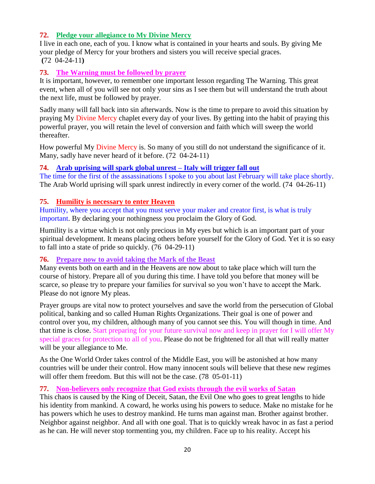# **72. [Pledge your allegiance to My Divine Mercy](http://www.thewarningsecondcoming.com/pledge-your-allegiance-to-my-divine-mercy/)**

I live in each one, each of you. I know what is contained in your hearts and souls. By giving Me your pledge of Mercy for your brothers and sisters you will receive special graces. **(**72 04-24-11**)**

### **73. The Warning must be followed by prayer**

It is important, however, to remember one important lesson regarding The Warning. This great event, when all of you will see not only your sins as I see them but will understand the truth about the next life, must be followed by prayer.

Sadly many will fall back into sin afterwards. Now is the time to prepare to avoid this situation by praying My [Divine Mercy](http://www.thewarningsecondcoming.com/divine-mercy-chaplet/) chaplet every day of your lives. By getting into the habit of praying this powerful prayer, you will retain the level of conversion and faith which will sweep the world thereafter.

How powerful My [Divine Mercy](http://www.thewarningsecondcoming.com/divine-mercy-chaplet/) is. So many of you still do not understand the significance of it. Many, sadly have never heard of it before. (72 04-24-11)

### **74. [Arab uprising will spark global unrest –](http://www.thewarningsecondcoming.com/arab-uprising-spark-global-unrest-italy-trigger-fall-out/) Italy will trigger fall out**

The time for the first of the assassinations I spoke to you about last February will take place shortly. The Arab World uprising will spark unrest indirectly in every corner of the world. (74 04-26-11)

### **75. Humility is necessary to enter Heaven**

Humility, where you accept that you must serve your maker and creator first, is what is truly important. By declaring your nothingness you proclaim the Glory of God.

Humility is a virtue which is not only precious in My eyes but which is an important part of your spiritual development. It means placing others before yourself for the Glory of God. Yet it is so easy to fall into a state of pride so quickly. (76 04-29-11)

### **76. Prepare now to avoid taking the Mark of the Beast**

Many events both on earth and in the Heavens are now about to take place which will turn the course of history. Prepare all of you during this time. I have told you before that money will be scarce, so please try to prepare your families for survival so you won't have to accept the Mark. Please do not ignore My pleas.

Prayer groups are vital now to protect yourselves and save the world from the persecution of Global political, banking and so called Human Rights Organizations. Their goal is one of power and control over you, my children, although many of you cannot see this. You will though in time. And that time is close. Start preparing for your future survival now and keep in prayer for I will offer My special graces for protection to all of you. Please do not be frightened for all that will really matter will be your allegiance to Me.

As the One World Order takes control of the Middle East, you will be astonished at how many countries will be under their control. How many innocent souls will believe that these new regimes will offer them freedom. But this will not be the case. (78 05-01-11)

### **77. Non-believers only recognize that God exists through the evil works of Satan**

This chaos is caused by the King of Deceit, Satan, the Evil One who goes to great lengths to hide his identity from mankind. A coward, he works using his powers to seduce. Make no mistake for he has powers which he uses to destroy mankind. He turns man against man. Brother against brother. Neighbor against neighbor. And all with one goal. That is to quickly wreak havoc in as fast a period as he can. He will never stop tormenting you, my children. Face up to his reality. Accept his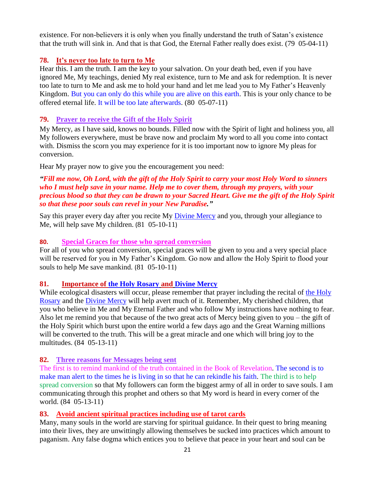existence. For non-believers it is only when you finally understand the truth of Satan's existence that the truth will sink in. And that is that God, the Eternal Father really does exist. (79 05-04-11)

## **78. It's never too late to turn to Me**

Hear this. I am the truth. I am the key to your salvation. On your death bed, even if you have ignored Me, My teachings, denied My real existence, turn to Me and ask for redemption. It is never too late to turn to Me and ask me to hold your hand and let me lead you to My Father's Heavenly Kingdom. But you can only do this while you are alive on this earth. This is your only chance to be offered eternal life. It will be too late afterwards. (80 05-07-11)

## **79. Prayer to receive the Gift of the Holy Spirit**

My Mercy, as I have said, knows no bounds. Filled now with the Spirit of light and holiness you, all My followers everywhere, must be brave now and proclaim My word to all you come into contact with. Dismiss the scorn you may experience for it is too important now to ignore My pleas for conversion.

Hear My prayer now to give you the encouragement you need:

### *"Fill me now, Oh Lord, with the gift of the Holy Spirit to carry your most Holy Word to sinners who I must help save in your name. Help me to cover them, through my prayers, with your precious blood so that they can be drawn to your Sacred Heart. Give me the gift of the Holy Spirit so that these poor souls can revel in your New Paradise."*

Say this prayer every day after you recite My [Divine Mercy](http://www.thewarningsecondcoming.com/divine-mercy-chaplet/) and you, through your allegiance to Me, will help save My children.  $(81 \t 05-10-11)$ 

### **80. Special Graces for those who spread conversion**

For all of you who spread conversion, special graces will be given to you and a very special place will be reserved for you in My Father's Kingdom. Go now and allow the Holy Spirit to flood your souls to help Me save mankind. (81 05-10-11)

# **81. Importance of [the Holy Rosary](http://www.thewarningsecondcoming.com/how-to-pray-the-rosary/) and [Divine Mercy](http://www.thewarningsecondcoming.com/divine-mercy-chaplet/)**

While ecological disasters will occur, please remember that prayer including the recital of the Holy [Rosary](http://www.thewarningsecondcoming.com/how-to-pray-the-rosary/) and the [Divine Mercy](http://www.thewarningsecondcoming.com/divine-mercy-chaplet/) will help avert much of it. Remember, My cherished children, that you who believe in Me and My Eternal Father and who follow My instructions have nothing to fear. Also let me remind you that because of the two great acts of Mercy being given to you – the gift of the Holy Spirit which burst upon the entire world a few days ago and the Great Warning millions will be converted to the truth. This will be a great miracle and one which will bring joy to the multitudes. (84 05-13-11)

# **82. Three reasons for Messages being sent**

The first is to remind mankind of the truth contained in the Book of Revelation. The second is to make man alert to the times he is living in so that he can rekindle his faith. The third is to help spread conversion so that My followers can form the biggest army of all in order to save souls. I am communicating through this prophet and others so that My word is heard in every corner of the world. (84 05-13-11)

# **83. Avoid ancient spiritual practices including use of tarot cards**

Many, many souls in the world are starving for spiritual guidance. In their quest to bring meaning into their lives, they are unwittingly allowing themselves be sucked into practices which amount to paganism. Any false dogma which entices you to believe that peace in your heart and soul can be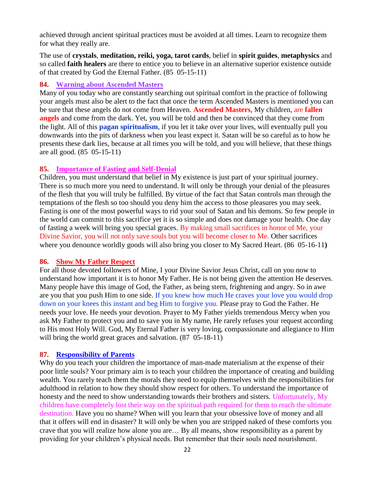achieved through ancient spiritual practices must be avoided at all times. Learn to recognize them for what they really are.

The use of **crystals**, **meditation, reiki, yoga, tarot cards**, belief in **spirit guides**, **metaphysics** and so called **faith healers** are there to entice you to believe in an alternative superior existence outside of that created by God the Eternal Father. (85 05-15-11)

### **84. Warning about Ascended Masters**

Many of you today who are constantly searching out spiritual comfort in the practice of following your angels must also be alert to the fact that once the term Ascended Masters is mentioned you can be sure that these angels do not come from Heaven. **Ascended Masters**, My children, are **fallen angels** and come from the dark. Yet, you will be told and then be convinced that they come from the light. All of this **pagan spiritualism**, if you let it take over your lives, will eventually pull you downwards into the pits of darkness when you least expect it. Satan will be so careful as to how he presents these dark lies, because at all times you will be told, and you will believe, that these things are all good. (85 05-15-11)

### **85. [Importance of Fasting and Self-Denial](http://www.thewarningsecondcoming.com/importance-of-fasting-and-self-denial/)**

Children, you must understand that belief in My existence is just part of your spiritual journey. There is so much more you need to understand. It will only be through your denial of the pleasures of the flesh that you will truly be fulfilled. By virtue of the fact that Satan controls man through the temptations of the flesh so too should you deny him the access to those pleasures you may seek. Fasting is one of the most powerful ways to rid your soul of Satan and his demons. So few people in the world can commit to this sacrifice yet it is so simple and does not damage your health. One day of fasting a week will bring you special graces. By making small sacrifices in honor of Me, your Divine Savior, you will not only save souls but you will become closer to Me. Other sacrifices where you denounce worldly goods will also bring you closer to My Sacred Heart. (86 05-16-11**)**

### **86. Show My Father Respect**

For all those devoted followers of Mine, I your Divine Savior Jesus Christ, call on you now to understand how important it is to honor My Father. He is not being given the attention He deserves. Many people have this image of God, the Father, as being stern, frightening and angry. So in awe are you that you push Him to one side. If you knew how much He craves your love you would drop down on your knees this instant and beg Him to forgive you. Please pray to God the Father. He needs your love. He needs your devotion. Prayer to My Father yields tremendous Mercy when you ask My Father to protect you and to save you in My name, He rarely refuses your request according to His most Holy Will. God, My Eternal Father is very loving, compassionate and allegiance to Him will bring the world great graces and salvation.  $(87 \t 05-18-11)$ 

# **87. Responsibility of Parents**

Why do you teach your children the importance of man-made materialism at the expense of their poor little souls? Your primary aim is to teach your children the importance of creating and building wealth. You rarely teach them the morals they need to equip themselves with the responsibilities for adulthood in relation to how they should show respect for others. To understand the importance of honesty and the need to show understanding towards their brothers and sisters. Unfortunately, My children have completely lost their way on the spiritual path required for them to reach the ultimate destination. Have you no shame? When will you learn that your obsessive love of money and all that it offers will end in disaster? It will only be when you are stripped naked of these comforts you crave that you will realize how alone you are… By all means, show responsibility as a parent by providing for your children's physical needs. But remember that their souls need nourishment.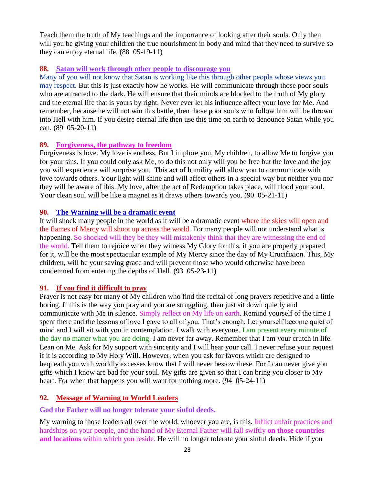Teach them the truth of My teachings and the importance of looking after their souls. Only then will you be giving your children the true nourishment in body and mind that they need to survive so they can enjoy eternal life. (88 05-19-11)

### **88. Satan will work through other people to discourage you**

Many of you will not know that Satan is working like this through other people whose views you may respect. But this is just exactly how he works. He will communicate through those poor souls who are attracted to the dark. He will ensure that their minds are blocked to the truth of My glory and the eternal life that is yours by right. Never ever let his influence affect your love for Me. And remember, because he will not win this battle, then those poor souls who follow him will be thrown into Hell with him. If you desire eternal life then use this time on earth to denounce Satan while you can. (89 05-20-11)

# **89. Forgiveness, [the pathway to freedom](http://www.thewarningsecondcoming.com/forgiveness-the-pathway-to-freedom/)**

Forgiveness is love. My love is endless. But I implore you, My children, to allow Me to forgive you for your sins. If you could only ask Me, to do this not only will you be free but the love and the joy you will experience will surprise you. This act of humility will allow you to communicate with love towards others. Your light will shine and will affect others in a special way but neither you nor they will be aware of this. My love, after the act of Redemption takes place, will flood your soul. Your clean soul will be like a magnet as it draws others towards you. (90 05-21-11)

### **90. The Warning will be a dramatic event**

It will shock many people in the world as it will be a dramatic event where the skies will open and the flames of Mercy will shoot up across the world. For many people will not understand what is happening. So shocked will they be they will mistakenly think that they are witnessing the end of the world. Tell them to rejoice when they witness My Glory for this, if you are properly prepared for it, will be the most spectacular example of My Mercy since the day of My Crucifixion. This, My children, will be your saving grace and will prevent those who would otherwise have been condemned from entering the depths of Hell. (93 05-23-11)

### **91. [If you find it difficult to pray](http://www.thewarningsecondcoming.com/if-you-find-it-difficult-to-pray/)**

Prayer is not easy for many of My children who find the recital of long prayers repetitive and a little boring. If this is the way you pray and you are struggling, then just sit down quietly and communicate with Me in silence. Simply reflect on My life on earth. Remind yourself of the time I spent there and the lessons of love I gave to all of you. That's enough. Let yourself become quiet of mind and I will sit with you in contemplation. I walk with everyone. I am present every minute of the day no matter what you are doing. I am never far away. Remember that I am your crutch in life. Lean on Me. Ask for My support with sincerity and I will hear your call. I never refuse your request if it is according to My Holy Will. However, when you ask for favors which are designed to bequeath you with worldly excesses know that I will never bestow these. For I can never give you gifts which I know are bad for your soul. My gifts are given so that I can bring you closer to My heart. For when that happens you will want for nothing more. (94 05-24-11)

# **92. [Message of Warning to World Leaders](http://www.thewarningsecondcoming.com/message-of-warning-to-world-leaders/)**

**God the Father will no longer tolerate your sinful deeds.**

My warning to those leaders all over the world, whoever you are, is this. Inflict unfair practices and hardships on your people, and the hand of My Eternal Father will fall swiftly **on those countries and locations** within which you reside. He will no longer tolerate your sinful deeds. Hide if you